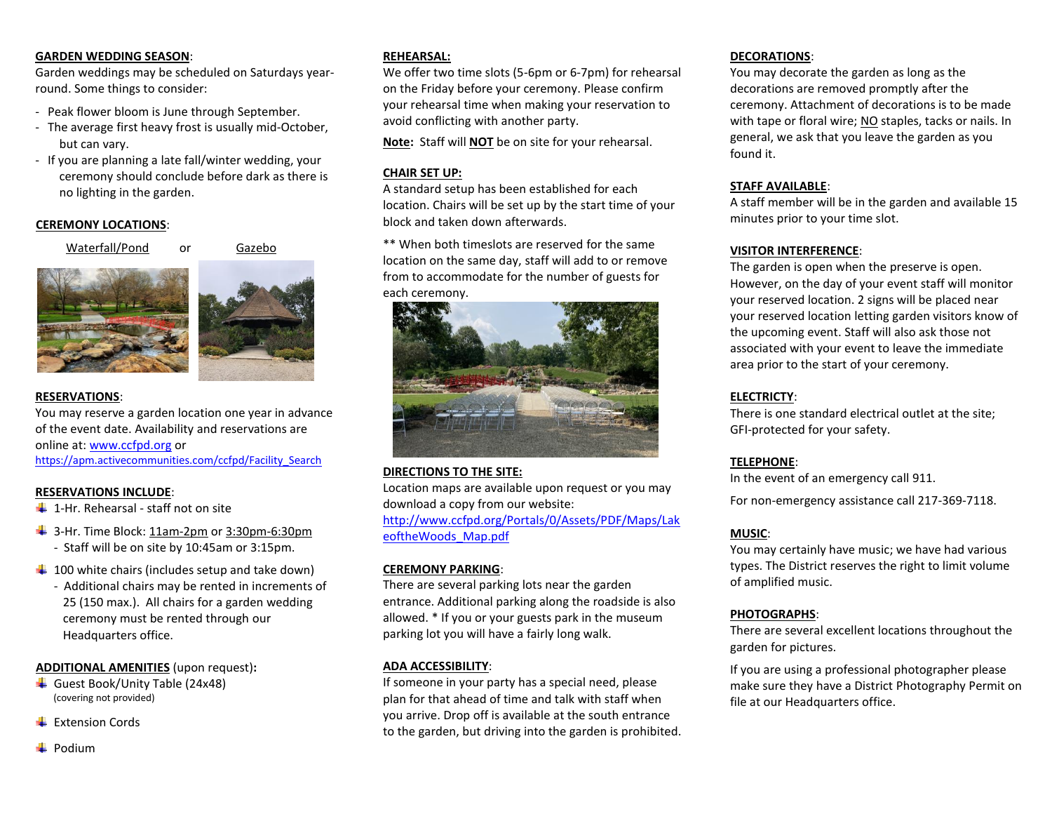#### **GARDEN WEDDING SEASON**:

Garden weddings may be scheduled on Saturdays yearround. Some things to consider:

- Peak flower bloom is June through September.
- The average first heavy frost is usually mid-October, but can vary.
- If you are planning a late fall/winter wedding, your ceremony should conclude before dark as there is no lighting in the garden.

## **CEREMONY LOCATIONS**:

Waterfall/Pond or Gazebo





## **RESERVATIONS**:

You may reserve a garden location one year in advance of the event date. Availability and reservations are online at[: www.ccfpd.org](http://www.ccfpd.org/) or [https://apm.activecommunities.com/ccfpd/Facility\\_Search](https://apm.activecommunities.com/ccfpd/Facility_Search)

## **RESERVATIONS INCLUDE**:

- $+$  1-Hr. Rehearsal staff not on site
- $\frac{1}{2}$  3-Hr. Time Block: 11am-2pm or 3:30pm-6:30pm - Staff will be on site by 10:45am or 3:15pm.
- $\downarrow$  100 white chairs (includes setup and take down)
	- Additional chairs may be rented in increments of 25 (150 max.). All chairs for a garden wedding ceremony must be rented through our Headquarters office.

#### **ADDITIONAL AMENITIES** (upon request)**:**

- Guest Book/Unity Table (24x48) (covering not provided)
- $\pm$  Extension Cords
- $\downarrow$  Podium

#### **REHEARSAL:**

We offer two time slots (5-6pm or 6-7pm) for rehearsal on the Friday before your ceremony. Please confirm your rehearsal time when making your reservation to avoid conflicting with another party.

**Note:** Staff will **NOT** be on site for your rehearsal.

## **CHAIR SET UP:**

A standard setup has been established for each location. Chairs will be set up by the start time of your block and taken down afterwards.

\*\* When both timeslots are reserved for the same location on the same day, staff will add to or remove from to accommodate for the number of guests for each ceremony.



## **DIRECTIONS TO THE SITE:**

Location maps are available upon request or you may download a copy from our website: [http://www.ccfpd.org/Portals/0/Assets/PDF/Maps/Lak](http://www.ccfpd.org/Portals/0/Assets/PDF/Maps/LakeoftheWoods_Map.pdf) [eoftheWoods\\_Map.pdf](http://www.ccfpd.org/Portals/0/Assets/PDF/Maps/LakeoftheWoods_Map.pdf)

#### **CEREMONY PARKING**:

There are several parking lots near the garden entrance. Additional parking along the roadside is also allowed. \* If you or your guests park in the museum parking lot you will have a fairly long walk.

#### **ADA ACCESSIBILITY**:

If someone in your party has a special need, please plan for that ahead of time and talk with staff when you arrive. Drop off is available at the south entrance to the garden, but driving into the garden is prohibited.

## **DECORATIONS**:

You may decorate the garden as long as the decorations are removed promptly after the ceremony. Attachment of decorations is to be made with tape or floral wire; NO staples, tacks or nails. In general, we ask that you leave the garden as you found it.

## **STAFF AVAILABLE**:

A staff member will be in the garden and available 15 minutes prior to your time slot.

## **VISITOR INTERFERENCE**:

The garden is open when the preserve is open. However, on the day of your event staff will monitor your reserved location. 2 signs will be placed near your reserved location letting garden visitors know of the upcoming event. Staff will also ask those not associated with your event to leave the immediate area prior to the start of your ceremony.

## **ELECTRICTY**:

There is one standard electrical outlet at the site; GFI-protected for your safety.

## **TELEPHONE**:

In the event of an emergency call 911.

For non-emergency assistance call 217-369-7118.

## **MUSIC**:

You may certainly have music; we have had various types. The District reserves the right to limit volume of amplified music.

#### **PHOTOGRAPHS**:

There are several excellent locations throughout the garden for pictures.

If you are using a professional photographer please make sure they have a District Photography Permit on file at our Headquarters office.